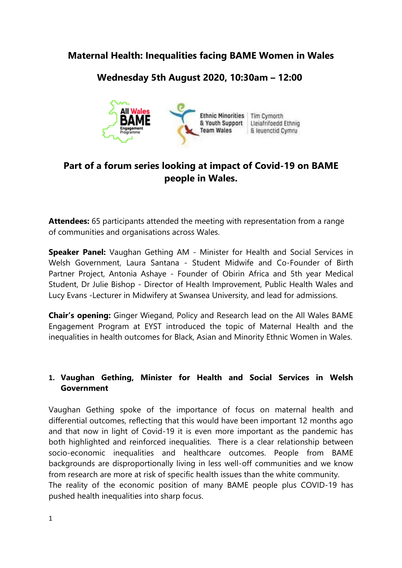**Maternal Health: Inequalities facing BAME Women in Wales**

## **Wednesday 5th August 2020, 10:30am – 12:00**



# **Part of a forum series looking at impact of Covid-19 on BAME people in Wales.**

**Attendees:** 65 participants attended the meeting with representation from a range of communities and organisations across Wales.

**Speaker Panel:** Vaughan Gething AM - Minister for Health and Social Services in Welsh Government, Laura Santana - Student Midwife and Co-Founder of Birth Partner Project, Antonia Ashaye - Founder of Obirin Africa and 5th year Medical Student, Dr Julie Bishop - Director of Health Improvement, Public Health Wales and Lucy Evans -Lecturer in Midwifery at Swansea University, and lead for admissions.

**Chair's opening:** Ginger Wiegand, Policy and Research lead on the All Wales BAME Engagement Program at EYST introduced the topic of Maternal Health and the inequalities in health outcomes for Black, Asian and Minority Ethnic Women in Wales.

## **1. Vaughan Gething, Minister for Health and Social Services in Welsh Government**

Vaughan Gething spoke of the importance of focus on maternal health and differential outcomes, reflecting that this would have been important 12 months ago and that now in light of Covid-19 it is even more important as the pandemic has both highlighted and reinforced inequalities. There is a clear relationship between socio-economic inequalities and healthcare outcomes. People from BAME backgrounds are disproportionally living in less well-off communities and we know from research are more at risk of specific health issues than the white community. The reality of the economic position of many BAME people plus COVID-19 has pushed health inequalities into sharp focus.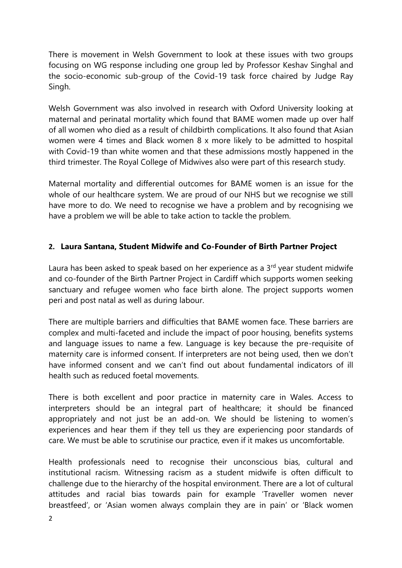There is movement in Welsh Government to look at these issues with two groups focusing on WG response including one group led by Professor Keshav Singhal and the socio-economic sub-group of the Covid-19 task force chaired by Judge Ray Singh.

Welsh Government was also involved in research with Oxford University looking at maternal and perinatal mortality which found that BAME women made up over half of all women who died as a result of childbirth complications. It also found that Asian women were 4 times and Black women 8 x more likely to be admitted to hospital with Covid-19 than white women and that these admissions mostly happened in the third trimester. The Royal College of Midwives also were part of this research study.

Maternal mortality and differential outcomes for BAME women is an issue for the whole of our healthcare system. We are proud of our NHS but we recognise we still have more to do. We need to recognise we have a problem and by recognising we have a problem we will be able to take action to tackle the problem.

#### **2. Laura Santana, Student Midwife and Co-Founder of Birth Partner Project**

Laura has been asked to speak based on her experience as a  $3<sup>rd</sup>$  year student midwife and co-founder of the Birth Partner Project in Cardiff which supports women seeking sanctuary and refugee women who face birth alone. The project supports women peri and post natal as well as during labour.

There are multiple barriers and difficulties that BAME women face. These barriers are complex and multi-faceted and include the impact of poor housing, benefits systems and language issues to name a few. Language is key because the pre-requisite of maternity care is informed consent. If interpreters are not being used, then we don't have informed consent and we can't find out about fundamental indicators of ill health such as reduced foetal movements.

There is both excellent and poor practice in maternity care in Wales. Access to interpreters should be an integral part of healthcare; it should be financed appropriately and not just be an add-on. We should be listening to women's experiences and hear them if they tell us they are experiencing poor standards of care. We must be able to scrutinise our practice, even if it makes us uncomfortable.

Health professionals need to recognise their unconscious bias, cultural and institutional racism. Witnessing racism as a student midwife is often difficult to challenge due to the hierarchy of the hospital environment. There are a lot of cultural attitudes and racial bias towards pain for example 'Traveller women never breastfeed', or 'Asian women always complain they are in pain' or 'Black women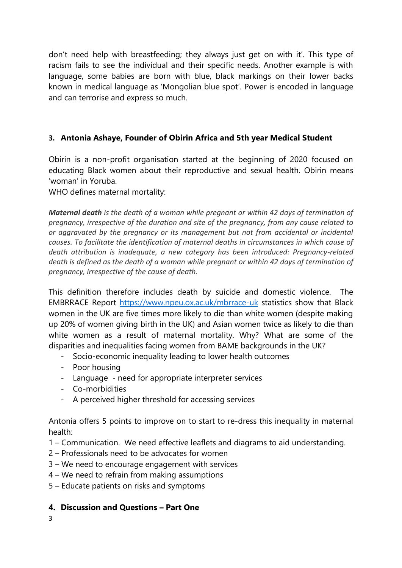don't need help with breastfeeding; they always just get on with it'. This type of racism fails to see the individual and their specific needs. Another example is with language, some babies are born with blue, black markings on their lower backs known in medical language as 'Mongolian blue spot'. Power is encoded in language and can terrorise and express so much.

### **3. Antonia Ashaye, Founder of Obirin Africa and 5th year Medical Student**

Obirin is a non-profit organisation started at the beginning of 2020 focused on educating Black women about their reproductive and sexual health. Obirin means 'woman' in Yoruba.

WHO defines maternal mortality:

*Maternal death is the death of a woman while pregnant or within 42 days of termination of pregnancy, irrespective of the duration and site of the pregnancy, from any cause related to or aggravated by the pregnancy or its management but not from accidental or incidental causes. To facilitate the identification of maternal deaths in circumstances in which cause of death attribution is inadequate, a new category has been introduced: Pregnancy-related death is defined as the death of a woman while pregnant or within 42 days of termination of pregnancy, irrespective of the cause of death.*

This definition therefore includes death by suicide and domestic violence. The EMBRRACE Report<https://www.npeu.ox.ac.uk/mbrrace-uk> statistics show that Black women in the UK are five times more likely to die than white women (despite making up 20% of women giving birth in the UK) and Asian women twice as likely to die than white women as a result of maternal mortality. Why? What are some of the disparities and inequalities facing women from BAME backgrounds in the UK?

- Socio-economic inequality leading to lower health outcomes
- Poor housing
- Language need for appropriate interpreter services
- Co-morbidities
- A perceived higher threshold for accessing services

Antonia offers 5 points to improve on to start to re-dress this inequality in maternal health:

- 1 Communication. We need effective leaflets and diagrams to aid understanding.
- 2 Professionals need to be advocates for women
- 3 We need to encourage engagement with services
- 4 We need to refrain from making assumptions
- 5 Educate patients on risks and symptoms

#### **4. Discussion and Questions – Part One**

3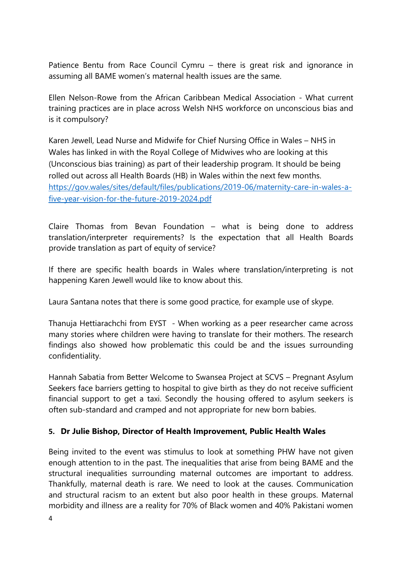Patience Bentu from Race Council Cymru – there is great risk and ignorance in assuming all BAME women's maternal health issues are the same.

Ellen Nelson-Rowe from the African Caribbean Medical Association - What current training practices are in place across Welsh NHS workforce on unconscious bias and is it compulsory?

Karen Jewell, Lead Nurse and Midwife for Chief Nursing Office in Wales – NHS in Wales has linked in with the Royal College of Midwives who are looking at this (Unconscious bias training) as part of their leadership program. It should be being rolled out across all Health Boards (HB) in Wales within the next few months. [https://gov.wales/sites/default/files/publications/2019-06/maternity-care-in-wales-a](https://gov.wales/sites/default/files/publications/2019-06/maternity-care-in-wales-a-five-year-vision-for-the-future-2019-2024.pdf)[five-year-vision-for-the-future-2019-2024.pdf](https://gov.wales/sites/default/files/publications/2019-06/maternity-care-in-wales-a-five-year-vision-for-the-future-2019-2024.pdf)

Claire Thomas from Bevan Foundation – what is being done to address translation/interpreter requirements? Is the expectation that all Health Boards provide translation as part of equity of service?

If there are specific health boards in Wales where translation/interpreting is not happening Karen Jewell would like to know about this.

Laura Santana notes that there is some good practice, for example use of skype.

Thanuja Hettiarachchi from EYST - When working as a peer researcher came across many stories where children were having to translate for their mothers. The research findings also showed how problematic this could be and the issues surrounding confidentiality.

Hannah Sabatia from Better Welcome to Swansea Project at SCVS – Pregnant Asylum Seekers face barriers getting to hospital to give birth as they do not receive sufficient financial support to get a taxi. Secondly the housing offered to asylum seekers is often sub-standard and cramped and not appropriate for new born babies.

#### **5. Dr Julie Bishop, Director of Health Improvement, Public Health Wales**

Being invited to the event was stimulus to look at something PHW have not given enough attention to in the past. The inequalities that arise from being BAME and the structural inequalities surrounding maternal outcomes are important to address. Thankfully, maternal death is rare. We need to look at the causes. Communication and structural racism to an extent but also poor health in these groups. Maternal morbidity and illness are a reality for 70% of Black women and 40% Pakistani women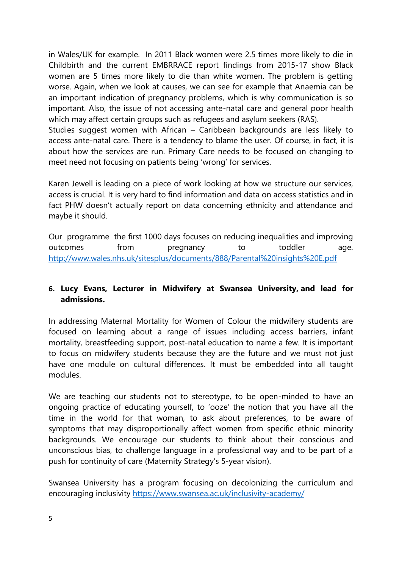in Wales/UK for example. In 2011 Black women were 2.5 times more likely to die in Childbirth and the current EMBRRACE report findings from 2015-17 show Black women are 5 times more likely to die than white women. The problem is getting worse. Again, when we look at causes, we can see for example that Anaemia can be an important indication of pregnancy problems, which is why communication is so important. Also, the issue of not accessing ante-natal care and general poor health which may affect certain groups such as refugees and asylum seekers (RAS).

Studies suggest women with African – Caribbean backgrounds are less likely to access ante-natal care. There is a tendency to blame the user. Of course, in fact, it is about how the services are run. Primary Care needs to be focused on changing to meet need not focusing on patients being 'wrong' for services.

Karen Jewell is leading on a piece of work looking at how we structure our services, access is crucial. It is very hard to find information and data on access statistics and in fact PHW doesn't actually report on data concerning ethnicity and attendance and maybe it should.

Our programme the first 1000 days focuses on reducing inequalities and improving outcomes from pregnancy to toddler age. <http://www.wales.nhs.uk/sitesplus/documents/888/Parental%20insights%20E.pdf>

## **6. Lucy Evans, Lecturer in Midwifery at Swansea University, and lead for admissions.**

In addressing Maternal Mortality for Women of Colour the midwifery students are focused on learning about a range of issues including access barriers, infant mortality, breastfeeding support, post-natal education to name a few. It is important to focus on midwifery students because they are the future and we must not just have one module on cultural differences. It must be embedded into all taught modules.

We are teaching our students not to stereotype, to be open-minded to have an ongoing practice of educating yourself, to 'ooze' the notion that you have all the time in the world for that woman, to ask about preferences, to be aware of symptoms that may disproportionally affect women from specific ethnic minority backgrounds. We encourage our students to think about their conscious and unconscious bias, to challenge language in a professional way and to be part of a push for continuity of care (Maternity Strategy's 5-year vision).

Swansea University has a program focusing on decolonizing the curriculum and encouraging inclusivity <https://www.swansea.ac.uk/inclusivity-academy/>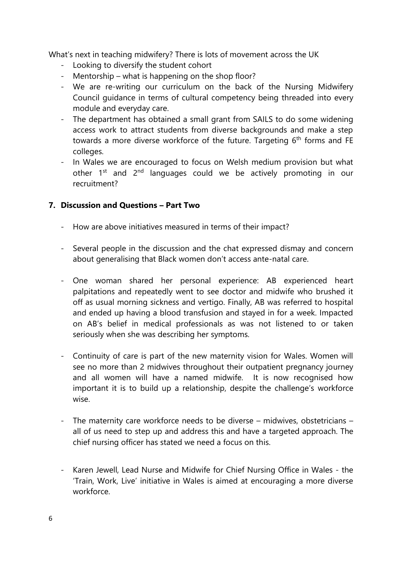What's next in teaching midwifery? There is lots of movement across the UK

- Looking to diversify the student cohort
- Mentorship what is happening on the shop floor?
- We are re-writing our curriculum on the back of the Nursing Midwifery Council guidance in terms of cultural competency being threaded into every module and everyday care.
- The department has obtained a small grant from SAILS to do some widening access work to attract students from diverse backgrounds and make a step towards a more diverse workforce of the future. Targeting 6<sup>th</sup> forms and FE colleges.
- In Wales we are encouraged to focus on Welsh medium provision but what other 1<sup>st</sup> and 2<sup>nd</sup> languages could we be actively promoting in our recruitment?

#### **7. Discussion and Questions – Part Two**

- How are above initiatives measured in terms of their impact?
- Several people in the discussion and the chat expressed dismay and concern about generalising that Black women don't access ante-natal care.
- One woman shared her personal experience: AB experienced heart palpitations and repeatedly went to see doctor and midwife who brushed it off as usual morning sickness and vertigo. Finally, AB was referred to hospital and ended up having a blood transfusion and stayed in for a week. Impacted on AB's belief in medical professionals as was not listened to or taken seriously when she was describing her symptoms.
- Continuity of care is part of the new maternity vision for Wales. Women will see no more than 2 midwives throughout their outpatient pregnancy journey and all women will have a named midwife. It is now recognised how important it is to build up a relationship, despite the challenge's workforce wise.
- The maternity care workforce needs to be diverse midwives, obstetricians all of us need to step up and address this and have a targeted approach. The chief nursing officer has stated we need a focus on this.
- Karen Jewell, Lead Nurse and Midwife for Chief Nursing Office in Wales the 'Train, Work, Live' initiative in Wales is aimed at encouraging a more diverse workforce.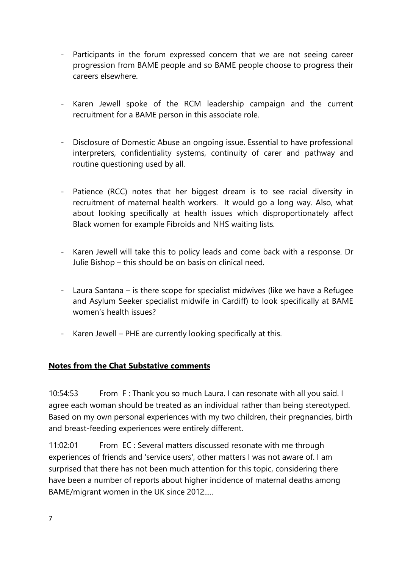- Participants in the forum expressed concern that we are not seeing career progression from BAME people and so BAME people choose to progress their careers elsewhere.
- Karen Jewell spoke of the RCM leadership campaign and the current recruitment for a BAME person in this associate role.
- Disclosure of Domestic Abuse an ongoing issue. Essential to have professional interpreters, confidentiality systems, continuity of carer and pathway and routine questioning used by all.
- Patience (RCC) notes that her biggest dream is to see racial diversity in recruitment of maternal health workers. It would go a long way. Also, what about looking specifically at health issues which disproportionately affect Black women for example Fibroids and NHS waiting lists.
- Karen Jewell will take this to policy leads and come back with a response. Dr Julie Bishop – this should be on basis on clinical need.
- Laura Santana is there scope for specialist midwives (like we have a Refugee and Asylum Seeker specialist midwife in Cardiff) to look specifically at BAME women's health issues?
- Karen Jewell PHE are currently looking specifically at this.

## **Notes from the Chat Substative comments**

10:54:53 From F : Thank you so much Laura. I can resonate with all you said. I agree each woman should be treated as an individual rather than being stereotyped. Based on my own personal experiences with my two children, their pregnancies, birth and breast-feeding experiences were entirely different.

11:02:01 From EC : Several matters discussed resonate with me through experiences of friends and 'service users', other matters I was not aware of. I am surprised that there has not been much attention for this topic, considering there have been a number of reports about higher incidence of maternal deaths among BAME/migrant women in the UK since 2012.....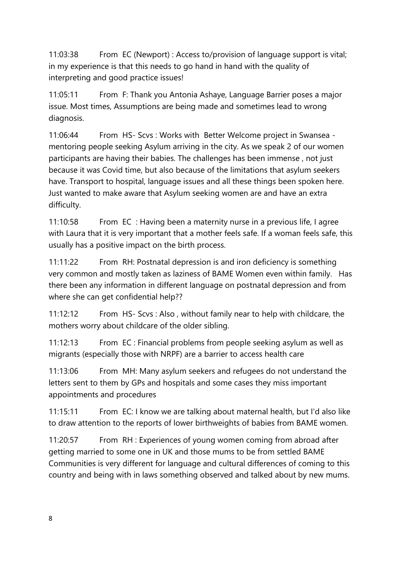11:03:38 From EC (Newport) : Access to/provision of language support is vital; in my experience is that this needs to go hand in hand with the quality of interpreting and good practice issues!

11:05:11 From F: Thank you Antonia Ashaye, Language Barrier poses a major issue. Most times, Assumptions are being made and sometimes lead to wrong diagnosis.

11:06:44 From HS- Scvs : Works with Better Welcome project in Swansea mentoring people seeking Asylum arriving in the city. As we speak 2 of our women participants are having their babies. The challenges has been immense , not just because it was Covid time, but also because of the limitations that asylum seekers have. Transport to hospital, language issues and all these things been spoken here. Just wanted to make aware that Asylum seeking women are and have an extra difficulty.

11:10:58 From EC : Having been a maternity nurse in a previous life, I agree with Laura that it is very important that a mother feels safe. If a woman feels safe, this usually has a positive impact on the birth process.

11:11:22 From RH: Postnatal depression is and iron deficiency is something very common and mostly taken as laziness of BAME Women even within family. Has there been any information in different language on postnatal depression and from where she can get confidential help??

11:12:12 From HS- Scvs : Also , without family near to help with childcare, the mothers worry about childcare of the older sibling.

11:12:13 From EC : Financial problems from people seeking asylum as well as migrants (especially those with NRPF) are a barrier to access health care

11:13:06 From MH: Many asylum seekers and refugees do not understand the letters sent to them by GPs and hospitals and some cases they miss important appointments and procedures

11:15:11 From EC: I know we are talking about maternal health, but I'd also like to draw attention to the reports of lower birthweights of babies from BAME women.

11:20:57 From RH : Experiences of young women coming from abroad after getting married to some one in UK and those mums to be from settled BAME Communities is very different for language and cultural differences of coming to this country and being with in laws something observed and talked about by new mums.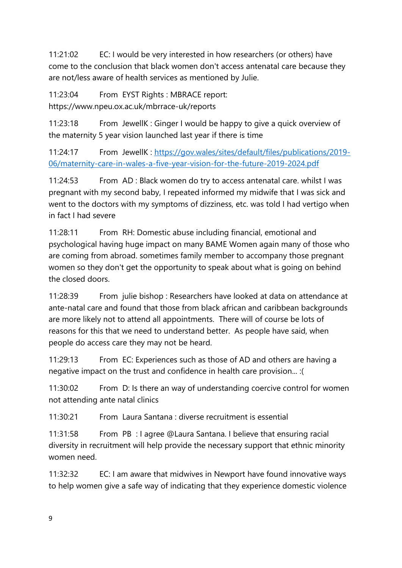11:21:02 EC: I would be very interested in how researchers (or others) have come to the conclusion that black women don't access antenatal care because they are not/less aware of health services as mentioned by Julie.

11:23:04 From EYST Rights : MBRACE report: https://www.npeu.ox.ac.uk/mbrrace-uk/reports

11:23:18 From JewellK : Ginger I would be happy to give a quick overview of the maternity 5 year vision launched last year if there is time

11:24:17 From JewellK : [https://gov.wales/sites/default/files/publications/2019-](https://gov.wales/sites/default/files/publications/2019-06/maternity-care-in-wales-a-five-year-vision-for-the-future-2019-2024.pdf) [06/maternity-care-in-wales-a-five-year-vision-for-the-future-2019-2024.pdf](https://gov.wales/sites/default/files/publications/2019-06/maternity-care-in-wales-a-five-year-vision-for-the-future-2019-2024.pdf)

11:24:53 From AD : Black women do try to access antenatal care. whilst I was pregnant with my second baby, I repeated informed my midwife that I was sick and went to the doctors with my symptoms of dizziness, etc. was told I had vertigo when in fact I had severe

11:28:11 From RH: Domestic abuse including financial, emotional and psychological having huge impact on many BAME Women again many of those who are coming from abroad. sometimes family member to accompany those pregnant women so they don't get the opportunity to speak about what is going on behind the closed doors.

11:28:39 From julie bishop : Researchers have looked at data on attendance at ante-natal care and found that those from black african and caribbean backgrounds are more likely not to attend all appointments. There will of course be lots of reasons for this that we need to understand better. As people have said, when people do access care they may not be heard.

11:29:13 From EC: Experiences such as those of AD and others are having a negative impact on the trust and confidence in health care provision... :(

11:30:02 From D: Is there an way of understanding coercive control for women not attending ante natal clinics

11:30:21 From Laura Santana : diverse recruitment is essential

11:31:58 From PB : I agree @Laura Santana. I believe that ensuring racial diversity in recruitment will help provide the necessary support that ethnic minority women need.

11:32:32 EC: I am aware that midwives in Newport have found innovative ways to help women give a safe way of indicating that they experience domestic violence